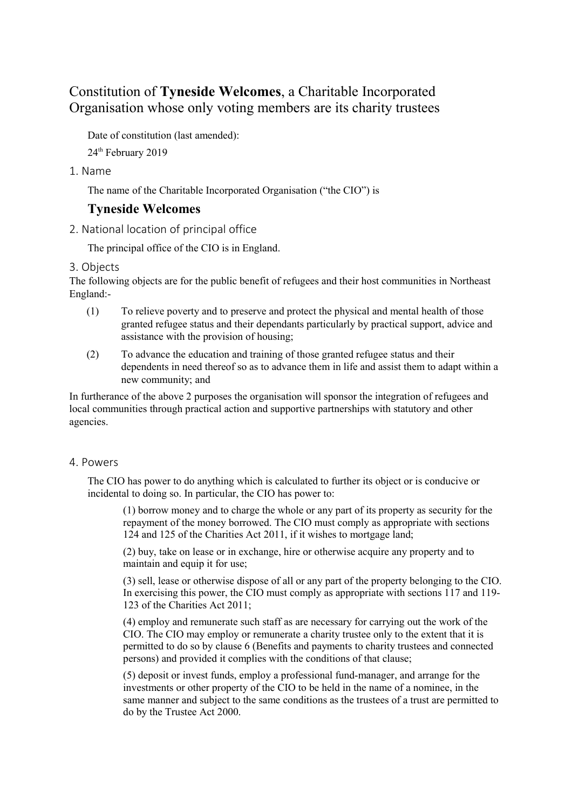# Constitution of **Tyneside Welcomes**, a Charitable Incorporated Organisation whose only voting members are its charity trustees

Date of constitution (last amended):

24<sup>th</sup> February 2019

1. Name

The name of the Charitable Incorporated Organisation ("the CIO") is

## **Tyneside Welcomes**

2. National location of principal office

The principal office of the CIO is in England.

3. Objects

The following objects are for the public benefit of refugees and their host communities in Northeast England:-

- (1) To relieve poverty and to preserve and protect the physical and mental health of those granted refugee status and their dependants particularly by practical support, advice and assistance with the provision of housing;
- (2) To advance the education and training of those granted refugee status and their dependents in need thereof so as to advance them in life and assist them to adapt within a new community; and

In furtherance of the above 2 purposes the organisation will sponsor the integration of refugees and local communities through practical action and supportive partnerships with statutory and other agencies.

## 4. Powers

The CIO has power to do anything which is calculated to further its object or is conducive or incidental to doing so. In particular, the CIO has power to:

(1) borrow money and to charge the whole or any part of its property as security for the repayment of the money borrowed. The CIO must comply as appropriate with sections 124 and 125 of the Charities Act 2011, if it wishes to mortgage land;

(2) buy, take on lease or in exchange, hire or otherwise acquire any property and to maintain and equip it for use;

(3) sell, lease or otherwise dispose of all or any part of the property belonging to the CIO. In exercising this power, the CIO must comply as appropriate with sections 117 and 119-123 of the Charities Act 2011;

(4) employ and remunerate such staff as are necessary for carrying out the work of the CIO. The CIO may employ or remunerate a charity trustee only to the extent that it is permitted to do so by clause 6 (Benefits and payments to charity trustees and connected persons) and provided it complies with the conditions of that clause;

(5) deposit or invest funds, employ a professional fund-manager, and arrange for the investments or other property of the CIO to be held in the name of a nominee, in the same manner and subject to the same conditions as the trustees of a trust are permitted to do by the Trustee Act 2000.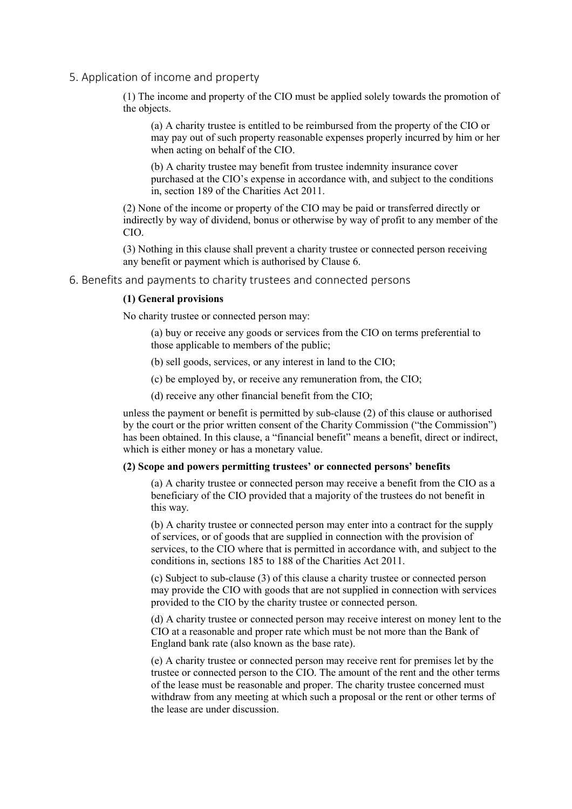5. Application of income and property

(1) The income and property of the CIO must be applied solely towards the promotion of the objects.

(a) A charity trustee is entitled to be reimbursed from the property of the CIO or may pay out of such property reasonable expenses properly incurred by him or her when acting on behalf of the CIO.

(b) A charity trustee may benefit from trustee indemnity insurance cover purchased at the CIO's expense in accordance with, and subject to the conditions in, section 189 of the Charities Act 2011.

(2) None of the income or property of the CIO may be paid or transferred directly or indirectly by way of dividend, bonus or otherwise by way of profit to any member of the CIO.

(3) Nothing in this clause shall prevent a charity trustee or connected person receiving any benefit or payment which is authorised by Clause 6.

6. Benefits and payments to charity trustees and connected persons

#### **(1) General provisions**

No charity trustee or connected person may:

(a) buy or receive any goods or services from the CIO on terms preferential to those applicable to members of the public;

(b) sell goods, services, or any interest in land to the CIO;

(c) be employed by, or receive any remuneration from, the CIO;

(d) receive any other financial benefit from the CIO;

unless the payment or benefit is permitted by sub-clause (2) of this clause or authorised by the court or the prior written consent of the Charity Commission ("the Commission") has been obtained. In this clause, a "financial benefit" means a benefit, direct or indirect, which is either money or has a monetary value.

#### **(2) Scope and powers permitting trustees' or connected persons' benefits**

(a) A charity trustee or connected person may receive a benefit from the CIO as a beneficiary of the CIO provided that a majority of the trustees do not benefit in this way.

(b) A charity trustee or connected person may enter into a contract for the supply of services, or of goods that are supplied in connection with the provision of services, to the CIO where that is permitted in accordance with, and subject to the conditions in, sections 185 to 188 of the Charities Act 2011.

(c) Subject to sub-clause (3) of this clause a charity trustee or connected person may provide the CIO with goods that are not supplied in connection with services provided to the CIO by the charity trustee or connected person.

(d) A charity trustee or connected person may receive interest on money lent to the CIO at a reasonable and proper rate which must be not more than the Bank of England bank rate (also known as the base rate).

(e) A charity trustee or connected person may receive rent for premises let by the trustee or connected person to the CIO. The amount of the rent and the other terms of the lease must be reasonable and proper. The charity trustee concerned must withdraw from any meeting at which such a proposal or the rent or other terms of the lease are under discussion.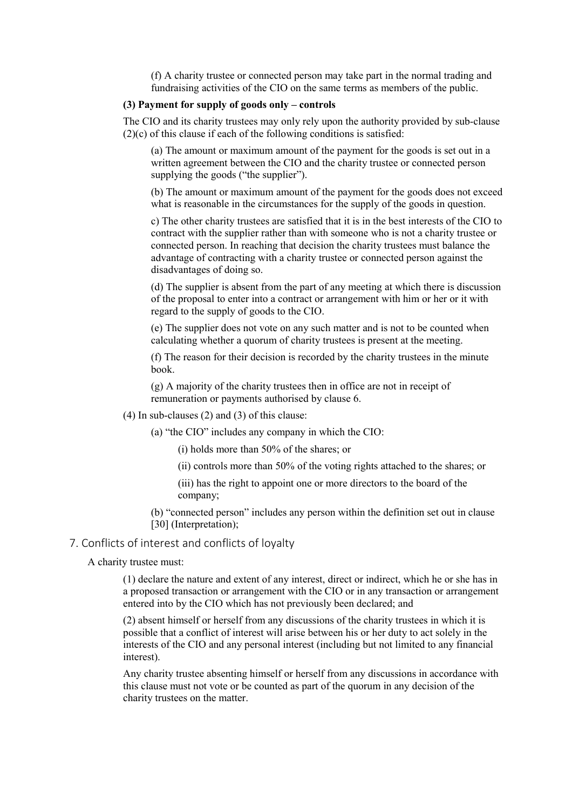(f) A charity trustee or connected person may take part in the normal trading and fundraising activities of the CIO on the same terms as members of the public.

## **(3) Payment for supply of goods only – controls**

The CIO and its charity trustees may only rely upon the authority provided by sub-clause  $(2)(c)$  of this clause if each of the following conditions is satisfied:

(a) The amount or maximum amount of the payment for the goods is set out in a written agreement between the CIO and the charity trustee or connected person supplying the goods ("the supplier").

(b) The amount or maximum amount of the payment for the goods does not exceed what is reasonable in the circumstances for the supply of the goods in question.

c) The other charity trustees are satisfied that it is in the best interests of the CIO to contract with the supplier rather than with someone who is not a charity trustee or connected person. In reaching that decision the charity trustees must balance the advantage of contracting with a charity trustee or connected person against the disadvantages of doing so.

(d) The supplier is absent from the part of any meeting at which there is discussion of the proposal to enter into a contract or arrangement with him or her or it with regard to the supply of goods to the CIO.

(e) The supplier does not vote on any such matter and is not to be counted when calculating whether a quorum of charity trustees is present at the meeting.

(f) The reason for their decision is recorded by the charity trustees in the minute book.

(g) A majority of the charity trustees then in office are not in receipt of remuneration or payments authorised by clause 6.

### (4) In sub-clauses (2) and (3) of this clause:

(a) "the CIO" includes any company in which the CIO:

(i) holds more than 50% of the shares; or

(ii) controls more than 50% of the voting rights attached to the shares; or

(iii) has the right to appoint one or more directors to the board of the company;

(b) "connected person" includes any person within the definition set out in clause [30] (Interpretation);

### 7. Conflicts of interest and conflicts of loyalty

A charity trustee must:

(1) declare the nature and extent of any interest, direct or indirect, which he or she has in a proposed transaction or arrangement with the CIO or in any transaction or arrangement entered into by the CIO which has not previously been declared; and

(2) absent himself or herself from any discussions of the charity trustees in which it is possible that a conflict of interest will arise between his or her duty to act solely in the interests of the CIO and any personal interest (including but not limited to any financial interest).

Any charity trustee absenting himself or herself from any discussions in accordance with this clause must not vote or be counted as part of the quorum in any decision of the charity trustees on the matter.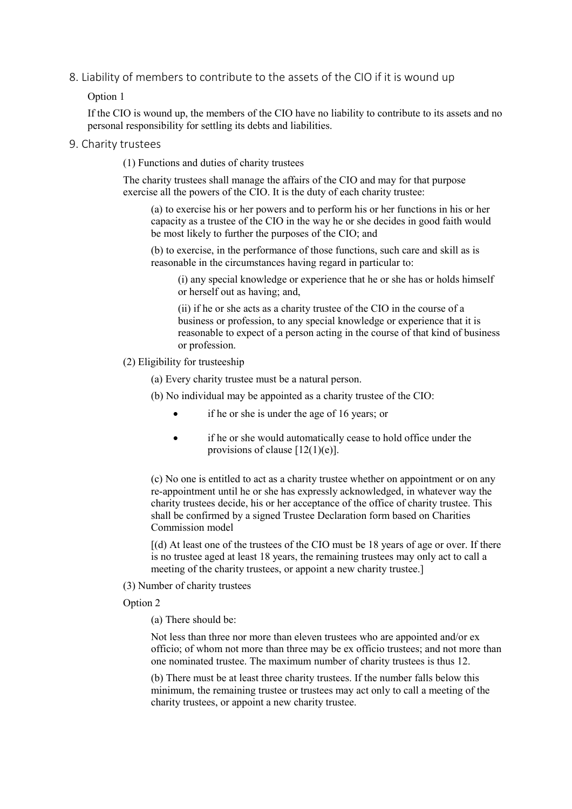8. Liability of members to contribute to the assets of the CIO if it is wound up

#### Option 1

If the CIO is wound up, the members of the CIO have no liability to contribute to its assets and no personal responsibility for settling its debts and liabilities.

9. Charity trustees

(1) Functions and duties of charity trustees

The charity trustees shall manage the affairs of the CIO and may for that purpose exercise all the powers of the CIO. It is the duty of each charity trustee:

(a) to exercise his or her powers and to perform his or her functions in his or her capacity as a trustee of the CIO in the way he or she decides in good faith would be most likely to further the purposes of the CIO; and

(b) to exercise, in the performance of those functions, such care and skill as is reasonable in the circumstances having regard in particular to:

(i) any special knowledge or experience that he or she has or holds himself or herself out as having; and,

(ii) if he or she acts as a charity trustee of the CIO in the course of a business or profession, to any special knowledge or experience that it is reasonable to expect of a person acting in the course of that kind of business or profession.

## (2) Eligibility for trusteeship

(a) Every charity trustee must be a natural person.

- (b) No individual may be appointed as a charity trustee of the CIO:
	- if he or she is under the age of 16 years; or
	- if he or she would automatically cease to hold office under the provisions of clause  $[12(1)(e)]$ .

(c) No one is entitled to act as a charity trustee whether on appointment or on any re-appointment until he or she has expressly acknowledged, in whatever way the charity trustees decide, his or her acceptance of the office of charity trustee. This shall be confirmed by a signed Trustee Declaration form based on Charities Commission model

[(d) At least one of the trustees of the CIO must be 18 years of age or over. If there is no trustee aged at least 18 years, the remaining trustees may only act to call a meeting of the charity trustees, or appoint a new charity trustee.]

(3) Number of charity trustees

#### Option 2

(a) There should be:

Not less than three nor more than eleven trustees who are appointed and/or ex officio; of whom not more than three may be ex officio trustees; and not more than one nominated trustee. The maximum number of charity trustees is thus 12.

(b) There must be at least three charity trustees. If the number falls below this minimum, the remaining trustee or trustees may act only to call a meeting of the charity trustees, or appoint a new charity trustee.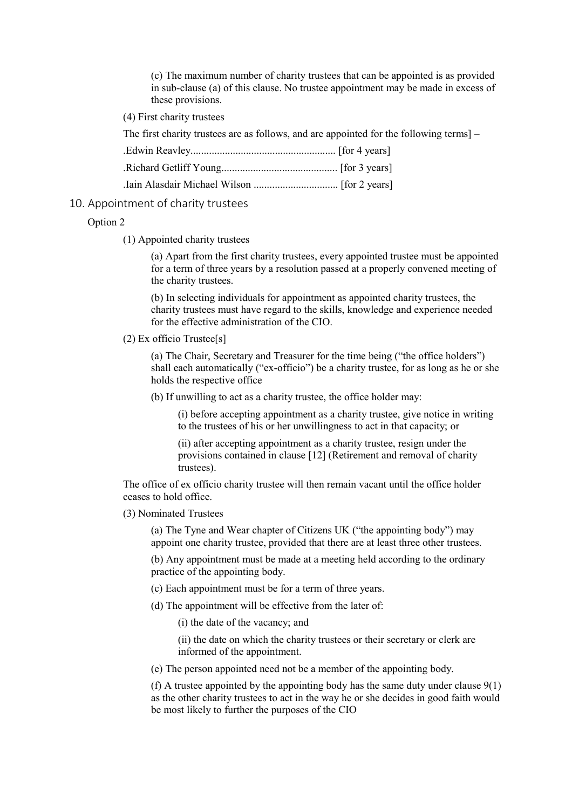(c) The maximum number of charity trustees that can be appointed is as provided in sub-clause (a) of this clause. No trustee appointment may be made in excess of these provisions.

(4) First charity trustees

The first charity trustees are as follows, and are appointed for the following terms] –

## 10. Appointment of charity trustees

#### Option 2

(1) Appointed charity trustees

(a) Apart from the first charity trustees, every appointed trustee must be appointed for a term of three years by a resolution passed at a properly convened meeting of the charity trustees.

(b) In selecting individuals for appointment as appointed charity trustees, the charity trustees must have regard to the skills, knowledge and experience needed for the effective administration of the CIO.

(2) Ex officio Trustee[s]

(a) The Chair, Secretary and Treasurer for the time being ("the office holders") shall each automatically ("ex-officio") be a charity trustee, for as long as he or she holds the respective office

(b) If unwilling to act as a charity trustee, the office holder may:

(i) before accepting appointment as a charity trustee, give notice in writing to the trustees of his or her unwillingness to act in that capacity; or

(ii) after accepting appointment as a charity trustee, resign under the provisions contained in clause [12] (Retirement and removal of charity trustees).

The office of ex officio charity trustee will then remain vacant until the office holder ceases to hold office.

(3) Nominated Trustees

(a) The Tyne and Wear chapter of Citizens UK ("the appointing body") may appoint one charity trustee, provided that there are at least three other trustees.

(b) Any appointment must be made at a meeting held according to the ordinary practice of the appointing body.

(c) Each appointment must be for a term of three years.

(d) The appointment will be effective from the later of:

(i) the date of the vacancy; and

(ii) the date on which the charity trustees or their secretary or clerk are informed of the appointment.

(e) The person appointed need not be a member of the appointing body.

(f) A trustee appointed by the appointing body has the same duty under clause  $9(1)$ as the other charity trustees to act in the way he or she decides in good faith would be most likely to further the purposes of the CIO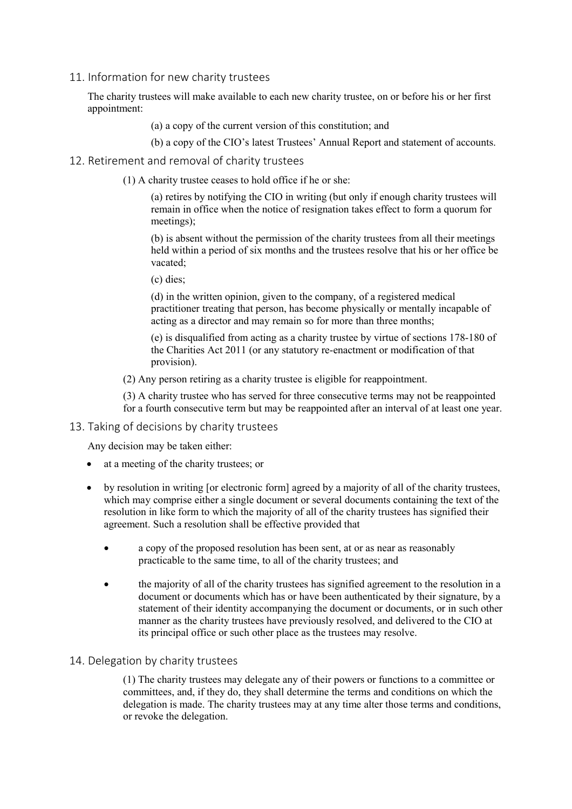## 11. Information for new charity trustees

The charity trustees will make available to each new charity trustee, on or before his or her first appointment:

(a) a copy of the current version of this constitution; and

(b) a copy of the CIO's latest Trustees' Annual Report and statement of accounts.

## 12. Retirement and removal of charity trustees

(1) A charity trustee ceases to hold office if he or she:

(a) retires by notifying the CIO in writing (but only if enough charity trustees will remain in office when the notice of resignation takes effect to form a quorum for meetings);

(b) is absent without the permission of the charity trustees from all their meetings held within a period of six months and the trustees resolve that his or her office be vacated;

(c) dies;

(d) in the written opinion, given to the company, of a registered medical practitioner treating that person, has become physically or mentally incapable of acting as a director and may remain so for more than three months;

(e) is disqualified from acting as a charity trustee by virtue of sections 178-180 of the Charities Act 2011 (or any statutory re-enactment or modification of that provision).

(2) Any person retiring as a charity trustee is eligible for reappointment.

(3) A charity trustee who has served for three consecutive terms may not be reappointed for a fourth consecutive term but may be reappointed after an interval of at least one year.

## 13. Taking of decisions by charity trustees

Any decision may be taken either:

- at a meeting of the charity trustees; or
- by resolution in writing [or electronic form] agreed by a majority of all of the charity trustees, which may comprise either a single document or several documents containing the text of the resolution in like form to which the majority of all of the charity trustees has signified their agreement. Such a resolution shall be effective provided that
	- a copy of the proposed resolution has been sent, at or as near as reasonably practicable to the same time, to all of the charity trustees; and
	- the majority of all of the charity trustees has signified agreement to the resolution in a document or documents which has or have been authenticated by their signature, by a statement of their identity accompanying the document or documents, or in such other manner as the charity trustees have previously resolved, and delivered to the CIO at its principal office or such other place as the trustees may resolve.

#### 14. Delegation by charity trustees

(1) The charity trustees may delegate any of their powers or functions to a committee or committees, and, if they do, they shall determine the terms and conditions on which the delegation is made. The charity trustees may at any time alter those terms and conditions, or revoke the delegation.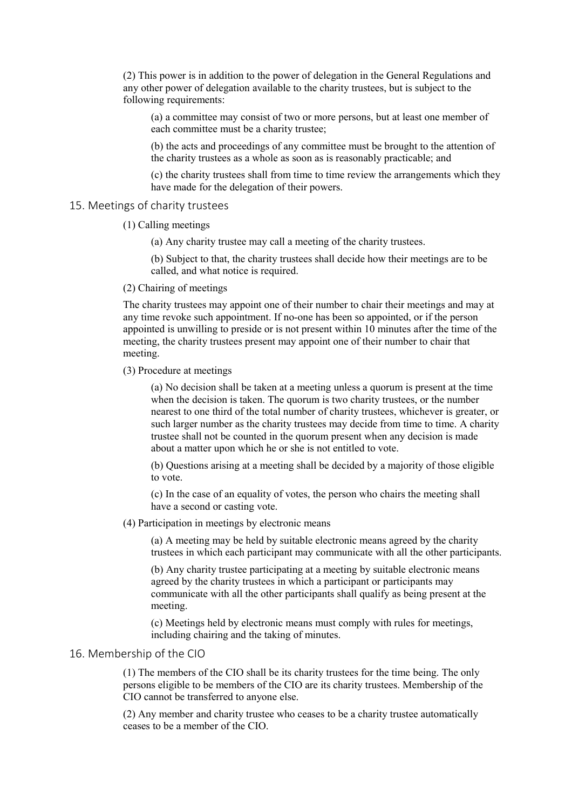(2) This power is in addition to the power of delegation in the General Regulations and any other power of delegation available to the charity trustees, but is subject to the following requirements:

(a) a committee may consist of two or more persons, but at least one member of each committee must be a charity trustee;

(b) the acts and proceedings of any committee must be brought to the attention of the charity trustees as a whole as soon as is reasonably practicable; and

(c) the charity trustees shall from time to time review the arrangements which they have made for the delegation of their powers.

## 15. Meetings of charity trustees

(1) Calling meetings

(a) Any charity trustee may call a meeting of the charity trustees.

(b) Subject to that, the charity trustees shall decide how their meetings are to be called, and what notice is required.

(2) Chairing of meetings

The charity trustees may appoint one of their number to chair their meetings and may at any time revoke such appointment. If no-one has been so appointed, or if the person appointed is unwilling to preside or is not present within 10 minutes after the time of the meeting, the charity trustees present may appoint one of their number to chair that meeting.

(3) Procedure at meetings

(a) No decision shall be taken at a meeting unless a quorum is present at the time when the decision is taken. The quorum is two charity trustees, or the number nearest to one third of the total number of charity trustees, whichever is greater, or such larger number as the charity trustees may decide from time to time. A charity trustee shall not be counted in the quorum present when any decision is made about a matter upon which he or she is not entitled to vote.

(b) Questions arising at a meeting shall be decided by a majority of those eligible to vote.

(c) In the case of an equality of votes, the person who chairs the meeting shall have a second or casting vote.

(4) Participation in meetings by electronic means

(a) A meeting may be held by suitable electronic means agreed by the charity trustees in which each participant may communicate with all the other participants.

(b) Any charity trustee participating at a meeting by suitable electronic means agreed by the charity trustees in which a participant or participants may communicate with all the other participants shall qualify as being present at the meeting.

(c) Meetings held by electronic means must comply with rules for meetings, including chairing and the taking of minutes.

#### 16. Membership of the CIO

(1) The members of the CIO shall be its charity trustees for the time being. The only persons eligible to be members of the CIO are its charity trustees. Membership of the CIO cannot be transferred to anyone else.

(2) Any member and charity trustee who ceases to be a charity trustee automatically ceases to be a member of the CIO.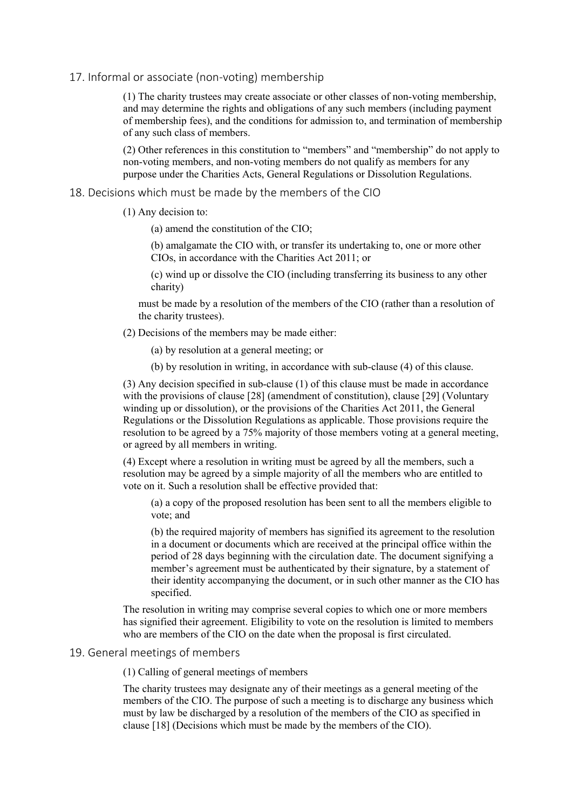#### 17. Informal or associate (non-voting) membership

(1) The charity trustees may create associate or other classes of non-voting membership, and may determine the rights and obligations of any such members (including payment of membership fees), and the conditions for admission to, and termination of membership of any such class of members.

(2) Other references in this constitution to "members" and "membership" do not apply to non-voting members, and non-voting members do not qualify as members for any purpose under the Charities Acts, General Regulations or Dissolution Regulations.

#### 18. Decisions which must be made by the members of the CIO

(1) Any decision to:

(a) amend the constitution of the CIO;

(b) amalgamate the CIO with, or transfer its undertaking to, one or more other CIOs, in accordance with the Charities Act 2011; or

(c) wind up or dissolve the CIO (including transferring its business to any other charity)

must be made by a resolution of the members of the CIO (rather than a resolution of the charity trustees).

(2) Decisions of the members may be made either:

(a) by resolution at a general meeting; or

(b) by resolution in writing, in accordance with sub-clause (4) of this clause.

(3) Any decision specified in sub-clause (1) of this clause must be made in accordance with the provisions of clause [28] (amendment of constitution), clause [29] (Voluntary winding up or dissolution), or the provisions of the Charities Act 2011, the General Regulations or the Dissolution Regulations as applicable. Those provisions require the resolution to be agreed by a 75% majority of those members voting at a general meeting, or agreed by all members in writing.

(4) Except where a resolution in writing must be agreed by all the members, such a resolution may be agreed by a simple majority of all the members who are entitled to vote on it. Such a resolution shall be effective provided that:

(a) a copy of the proposed resolution has been sent to all the members eligible to vote; and

(b) the required majority of members has signified its agreement to the resolution in a document or documents which are received at the principal office within the period of 28 days beginning with the circulation date. The document signifying a member's agreement must be authenticated by their signature, by a statement of their identity accompanying the document, or in such other manner as the CIO has specified.

The resolution in writing may comprise several copies to which one or more members has signified their agreement. Eligibility to vote on the resolution is limited to members who are members of the CIO on the date when the proposal is first circulated.

### 19. General meetings of members

(1) Calling of general meetings of members

The charity trustees may designate any of their meetings as a general meeting of the members of the CIO. The purpose of such a meeting is to discharge any business which must by law be discharged by a resolution of the members of the CIO as specified in clause [18] (Decisions which must be made by the members of the CIO).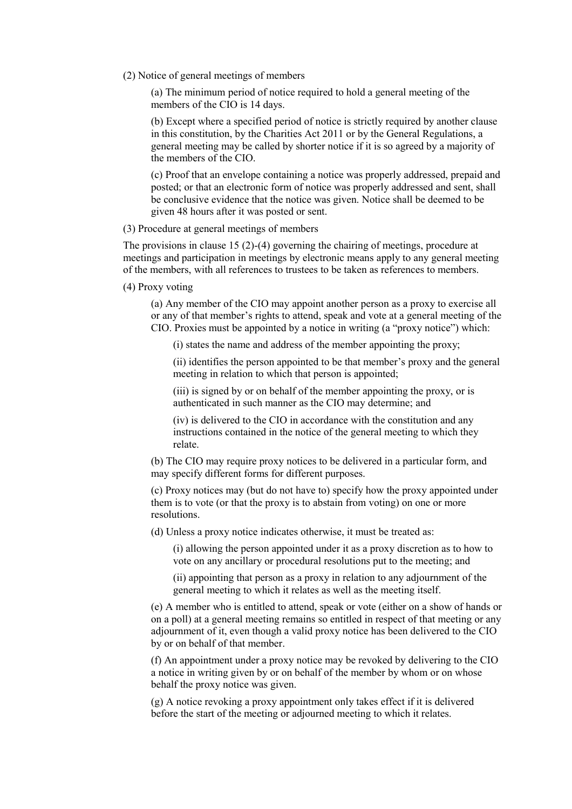(2) Notice of general meetings of members

(a) The minimum period of notice required to hold a general meeting of the members of the CIO is 14 days.

(b) Except where a specified period of notice is strictly required by another clause in this constitution, by the Charities Act 2011 or by the General Regulations, a general meeting may be called by shorter notice if it is so agreed by a majority of the members of the CIO.

(c) Proof that an envelope containing a notice was properly addressed, prepaid and posted; or that an electronic form of notice was properly addressed and sent, shall be conclusive evidence that the notice was given. Notice shall be deemed to be given 48 hours after it was posted or sent.

#### (3) Procedure at general meetings of members

The provisions in clause 15 (2)-(4) governing the chairing of meetings, procedure at meetings and participation in meetings by electronic means apply to any general meeting of the members, with all references to trustees to be taken as references to members.

(4) Proxy voting

(a) Any member of the CIO may appoint another person as a proxy to exercise all or any of that member's rights to attend, speak and vote at a general meeting of the CIO. Proxies must be appointed by a notice in writing (a "proxy notice") which:

(i) states the name and address of the member appointing the proxy;

(ii) identifies the person appointed to be that member's proxy and the general meeting in relation to which that person is appointed;

(iii) is signed by or on behalf of the member appointing the proxy, or is authenticated in such manner as the CIO may determine; and

(iv) is delivered to the CIO in accordance with the constitution and any instructions contained in the notice of the general meeting to which they relate.

(b) The CIO may require proxy notices to be delivered in a particular form, and may specify different forms for different purposes.

(c) Proxy notices may (but do not have to) specify how the proxy appointed under them is to vote (or that the proxy is to abstain from voting) on one or more resolutions.

(d) Unless a proxy notice indicates otherwise, it must be treated as:

(i) allowing the person appointed under it as a proxy discretion as to how to vote on any ancillary or procedural resolutions put to the meeting; and

(ii) appointing that person as a proxy in relation to any adjournment of the general meeting to which it relates as well as the meeting itself.

(e) A member who is entitled to attend, speak or vote (either on a show of hands or on a poll) at a general meeting remains so entitled in respect of that meeting or any adjournment of it, even though a valid proxy notice has been delivered to the CIO by or on behalf of that member.

(f) An appointment under a proxy notice may be revoked by delivering to the CIO a notice in writing given by or on behalf of the member by whom or on whose behalf the proxy notice was given.

(g) A notice revoking a proxy appointment only takes effect if it is delivered before the start of the meeting or adjourned meeting to which it relates.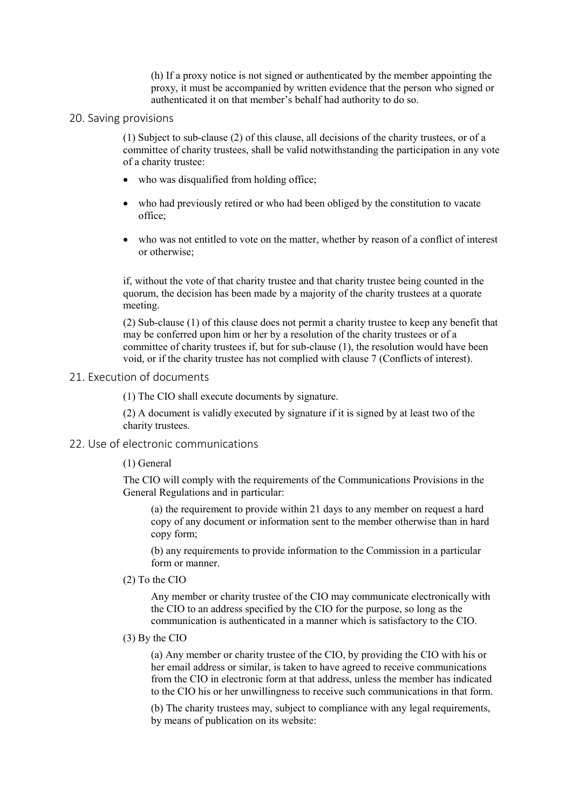(h) If a proxy notice is not signed or authenticated by the member appointing the proxy, it must be accompanied by written evidence that the person who signed or authenticated it on that member's behalf had authority to do so.

#### 20. Saving provisions

(1) Subject to sub-clause (2) of this clause, all decisions of the charity trustees, or of a committee of charity trustees, shall be valid notwithstanding the participation in any vote of a charity trustee:

- who was disqualified from holding office;
- who had previously retired or who had been obliged by the constitution to vacate office;
- who was not entitled to vote on the matter, whether by reason of a conflict of interest or otherwise;

if, without the vote of that charity trustee and that charity trustee being counted in the quorum, the decision has been made by a majority of the charity trustees at a quorate meeting.

(2) Sub-clause (1) of this clause does not permit a charity trustee to keep any benefit that may be conferred upon him or her by a resolution of the charity trustees or of a committee of charity trustees if, but for sub-clause (1), the resolution would have been void, or if the charity trustee has not complied with clause 7 (Conflicts of interest).

## 21. Execution of documents

(1) The CIO shall execute documents by signature.

(2) A document is validly executed by signature if it is signed by at least two of the charity trustees.

22. Use of electronic communications

(1) General

The CIO will comply with the requirements of the Communications Provisions in the General Regulations and in particular:

(a) the requirement to provide within 21 days to any member on request a hard copy of any document or information sent to the member otherwise than in hard copy form;

(b) any requirements to provide information to the Commission in a particular form or manner.

(2) To the CIO

Any member or charity trustee of the CIO may communicate electronically with the CIO to an address specified by the CIO for the purpose, so long as the communication is authenticated in a manner which is satisfactory to the CIO.

(3) By the CIO

(a) Any member or charity trustee of the CIO, by providing the CIO with his or her email address or similar, is taken to have agreed to receive communications from the CIO in electronic form at that address, unless the member has indicated to the CIO his or her unwillingness to receive such communications in that form.

(b) The charity trustees may, subject to compliance with any legal requirements, by means of publication on its website: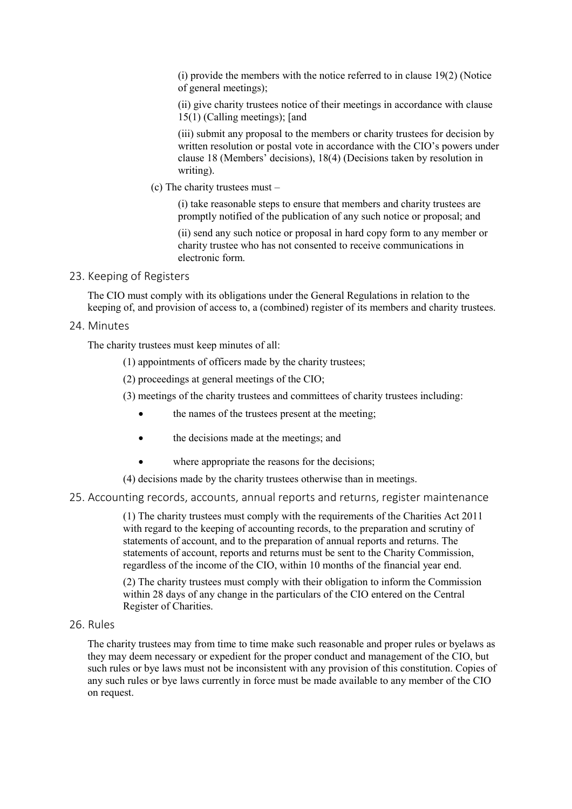(i) provide the members with the notice referred to in clause 19(2) (Notice of general meetings);

(ii) give charity trustees notice of their meetings in accordance with clause 15(1) (Calling meetings); [and

(iii) submit any proposal to the members or charity trustees for decision by written resolution or postal vote in accordance with the CIO's powers under clause 18 (Members' decisions), 18(4) (Decisions taken by resolution in writing).

(c) The charity trustees must –

(i) take reasonable steps to ensure that members and charity trustees are promptly notified of the publication of any such notice or proposal; and

(ii) send any such notice or proposal in hard copy form to any member or charity trustee who has not consented to receive communications in electronic form.

#### 23. Keeping of Registers

The CIO must comply with its obligations under the General Regulations in relation to the keeping of, and provision of access to, a (combined) register of its members and charity trustees.

#### 24. Minutes

The charity trustees must keep minutes of all:

- (1) appointments of officers made by the charity trustees;
- (2) proceedings at general meetings of the CIO;
- (3) meetings of the charity trustees and committees of charity trustees including:
	- the names of the trustees present at the meeting;
	- the decisions made at the meetings; and
	- where appropriate the reasons for the decisions;
- (4) decisions made by the charity trustees otherwise than in meetings.

#### 25. Accounting records, accounts, annual reports and returns, register maintenance

(1) The charity trustees must comply with the requirements of the Charities Act 2011 with regard to the keeping of accounting records, to the preparation and scrutiny of statements of account, and to the preparation of annual reports and returns. The statements of account, reports and returns must be sent to the Charity Commission, regardless of the income of the CIO, within 10 months of the financial year end.

(2) The charity trustees must comply with their obligation to inform the Commission within 28 days of any change in the particulars of the CIO entered on the Central Register of Charities.

26. Rules

The charity trustees may from time to time make such reasonable and proper rules or byelaws as they may deem necessary or expedient for the proper conduct and management of the CIO, but such rules or bye laws must not be inconsistent with any provision of this constitution. Copies of any such rules or bye laws currently in force must be made available to any member of the CIO on request.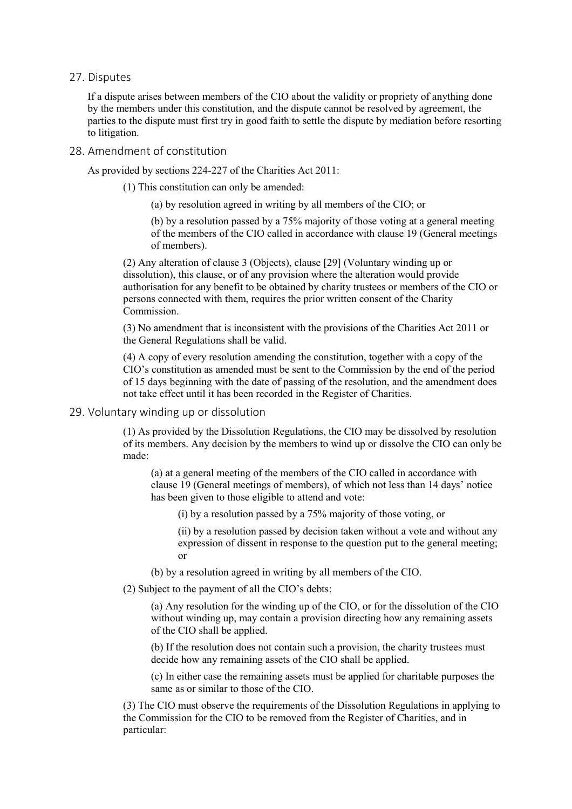#### 27. Disputes

If a dispute arises between members of the CIO about the validity or propriety of anything done by the members under this constitution, and the dispute cannot be resolved by agreement, the parties to the dispute must first try in good faith to settle the dispute by mediation before resorting to litigation.

#### 28. Amendment of constitution

As provided by sections 224-227 of the Charities Act 2011:

(1) This constitution can only be amended:

(a) by resolution agreed in writing by all members of the CIO; or

(b) by a resolution passed by a 75% majority of those voting at a general meeting of the members of the CIO called in accordance with clause 19 (General meetings of members).

(2) Any alteration of clause 3 (Objects), clause [29] (Voluntary winding up or dissolution), this clause, or of any provision where the alteration would provide authorisation for any benefit to be obtained by charity trustees or members of the CIO or persons connected with them, requires the prior written consent of the Charity Commission.

(3) No amendment that is inconsistent with the provisions of the Charities Act 2011 or the General Regulations shall be valid.

(4) A copy of every resolution amending the constitution, together with a copy of the CIO's constitution as amended must be sent to the Commission by the end of the period of 15 days beginning with the date of passing of the resolution, and the amendment does not take effect until it has been recorded in the Register of Charities.

## 29. Voluntary winding up or dissolution

(1) As provided by the Dissolution Regulations, the CIO may be dissolved by resolution of its members. Any decision by the members to wind up or dissolve the CIO can only be made:

(a) at a general meeting of the members of the CIO called in accordance with clause 19 (General meetings of members), of which not less than 14 days' notice has been given to those eligible to attend and vote:

(i) by a resolution passed by a 75% majority of those voting, or

(ii) by a resolution passed by decision taken without a vote and without any expression of dissent in response to the question put to the general meeting; or

(b) by a resolution agreed in writing by all members of the CIO.

(2) Subject to the payment of all the CIO's debts:

(a) Any resolution for the winding up of the CIO, or for the dissolution of the CIO without winding up, may contain a provision directing how any remaining assets of the CIO shall be applied.

(b) If the resolution does not contain such a provision, the charity trustees must decide how any remaining assets of the CIO shall be applied.

(c) In either case the remaining assets must be applied for charitable purposes the same as or similar to those of the CIO.

(3) The CIO must observe the requirements of the Dissolution Regulations in applying to the Commission for the CIO to be removed from the Register of Charities, and in particular: